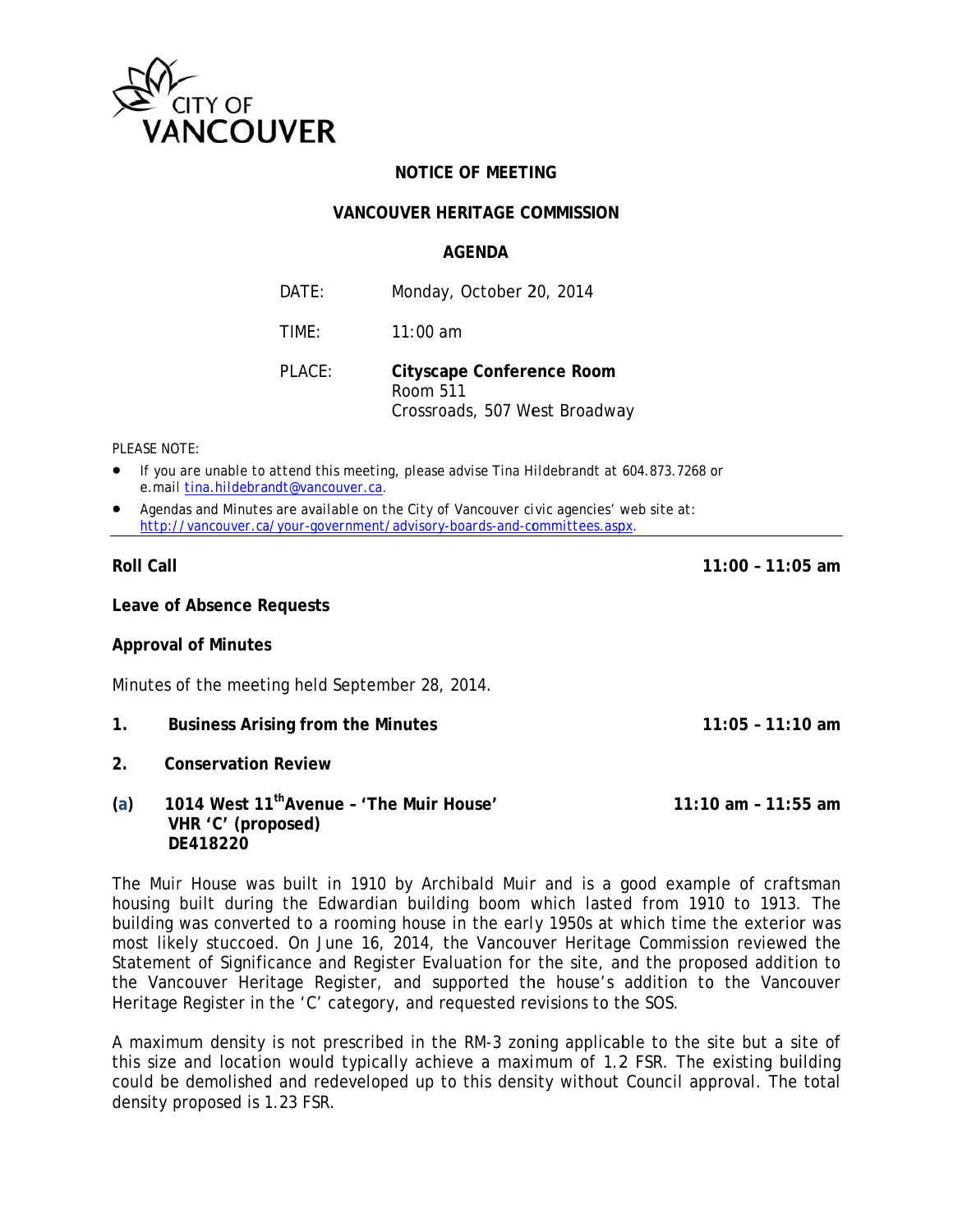

## **NOTICE OF MEETING**

### **VANCOUVER HERITAGE COMMISSION**

#### **AGFNDA**

| DATE:  | Monday, October 20, 2014                                               |
|--------|------------------------------------------------------------------------|
| TIMF:  | $11:00$ am                                                             |
| PLACE: | Cityscape Conference Room<br>Room 511<br>Crossroads, 507 West Broadway |

#### PI FASE NOTE:

- If you are unable to attend this meeting, please advise Tina Hildebrandt at 604.873.7268 or e.mail tina.hildebrandt@vancouver.ca.
- Agendas and Minutes are available on the City of Vancouver civic agencies' web site at: http://vancouver.ca/your-government/advisory-boards-and-committees.aspx.

## **Roll Call**

 $11:00 - 11:05$  am

 $11:05 - 11:10$  am

Leave of Absence Requests

#### **Approval of Minutes**

Minutes of the meeting held September 28, 2014.

- $1<sub>1</sub>$ **Business Arising from the Minutes**
- $2.$ **Conservation Review**
- 1014 West 11<sup>th</sup> Avenue 'The Muir House'  $(a)$ 11:10 am - 11:55 am VHR 'C' (proposed) **DF418220**

The Muir House was built in 1910 by Archibald Muir and is a good example of craftsman housing built during the Edwardian building boom which lasted from 1910 to 1913. The building was converted to a rooming house in the early 1950s at which time the exterior was most likely stuccoed. On June 16, 2014, the Vancouver Heritage Commission reviewed the Statement of Significance and Register Evaluation for the site, and the proposed addition to the Vancouver Heritage Register, and supported the house's addition to the Vancouver Heritage Register in the 'C' category, and requested revisions to the SOS.

A maximum density is not prescribed in the RM-3 zoning applicable to the site but a site of this size and location would typically achieve a maximum of 1.2 FSR. The existing building could be demolished and redeveloped up to this density without Council approval. The total density proposed is 1.23 FSR.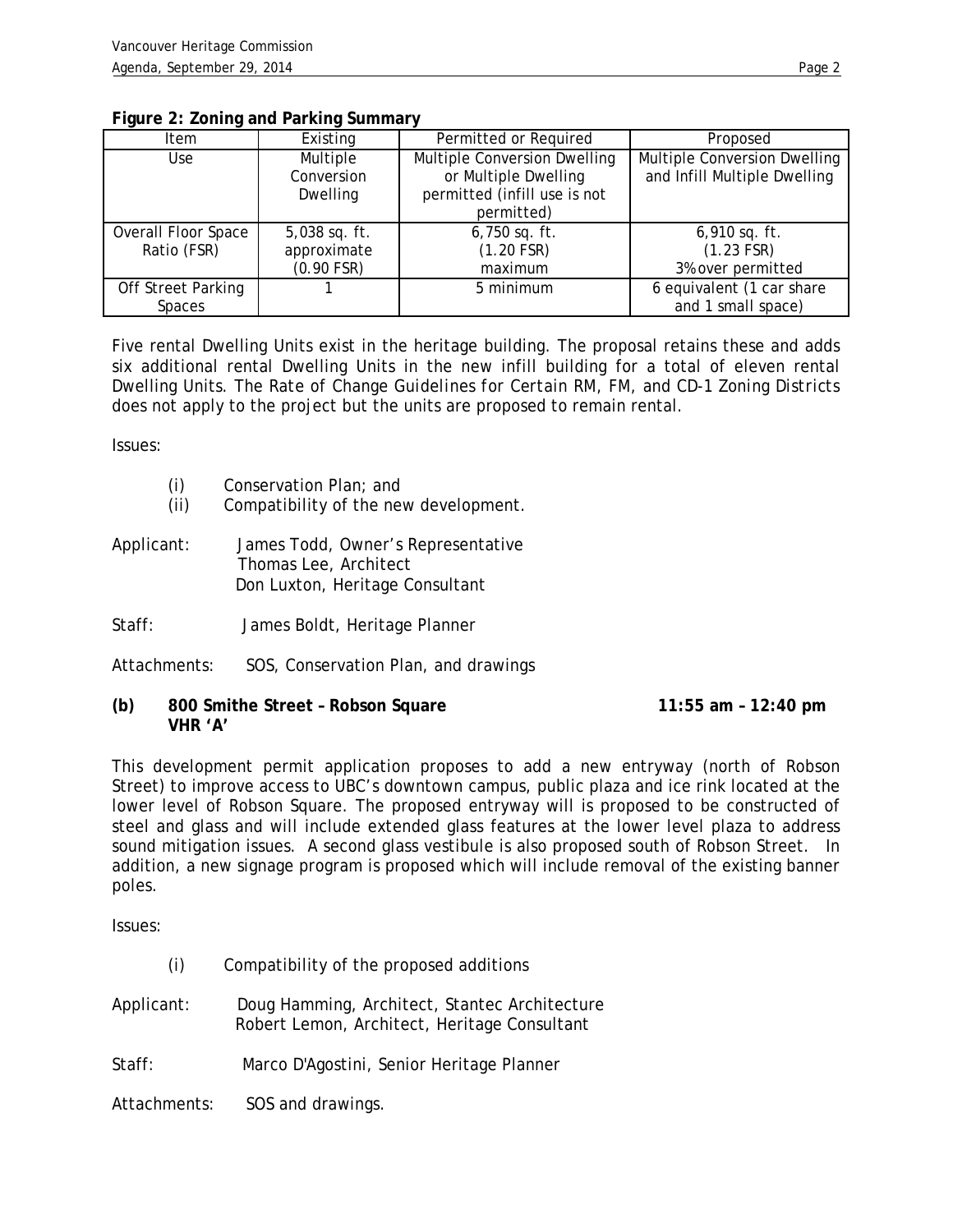| н |  |
|---|--|

| Item                       | Existing                           | Permitted or Required                                                                | Proposed                                                     |
|----------------------------|------------------------------------|--------------------------------------------------------------------------------------|--------------------------------------------------------------|
| Use                        | Multiple<br>Conversion<br>Dwelling | Multiple Conversion Dwelling<br>or Multiple Dwelling<br>permitted (infill use is not | Multiple Conversion Dwelling<br>and Infill Multiple Dwelling |
|                            |                                    | permitted)                                                                           |                                                              |
| <b>Overall Floor Space</b> | $5,038$ sq. ft.                    | $6,750$ sq. ft.                                                                      | $6,910$ sq. ft.                                              |
| Ratio (FSR)                | approximate                        | (1.20 FSR)                                                                           | $(1.23$ FSR)                                                 |
|                            | $(0.90$ FSR)                       | maximum                                                                              | 3% over permitted                                            |
| <b>Off Street Parking</b>  |                                    | 5 minimum                                                                            | $\overline{6}$ equivalent (1 car share                       |
| Spaces                     |                                    |                                                                                      | and 1 small space)                                           |

#### **Figure 2: Zoning and Parking Summary**

Five rental Dwelling Units exist in the heritage building. The proposal retains these and adds six additional rental Dwelling Units in the new infill building for a total of eleven rental Dwelling Units. The *Rate of Change Guidelines for Certain RM, FM, and CD-1 Zoning Districts*  does not apply to the project but the units are proposed to remain rental.

Issues:

- (i) Conservation Plan; and
- (ii) Compatibility of the new development.
- Applicant: James Todd, Owner's Representative Thomas Lee, Architect Don Luxton, Heritage Consultant
- Staff: James Boldt, Heritage Planner
- Attachments: SOS, Conservation Plan, and drawings
- **(b) 800 Smithe Street Robson Square 11:55 am 12:40 pm VHR 'A'**

This development permit application proposes to add a new entryway (north of Robson Street) to improve access to UBC's downtown campus, public plaza and ice rink located at the lower level of Robson Square. The proposed entryway will is proposed to be constructed of steel and glass and will include extended glass features at the lower level plaza to address sound mitigation issues. A second glass vestibule is also proposed south of Robson Street. In addition, a new signage program is proposed which will include removal of the existing banner poles.

Issues:

- (i) Compatibility of the proposed additions
- Applicant: Doug Hamming, Architect, Stantec Architecture Robert Lemon, Architect, Heritage Consultant
- Staff: Marco D'Agostini, Senior Heritage Planner

Attachments: SOS and drawings.